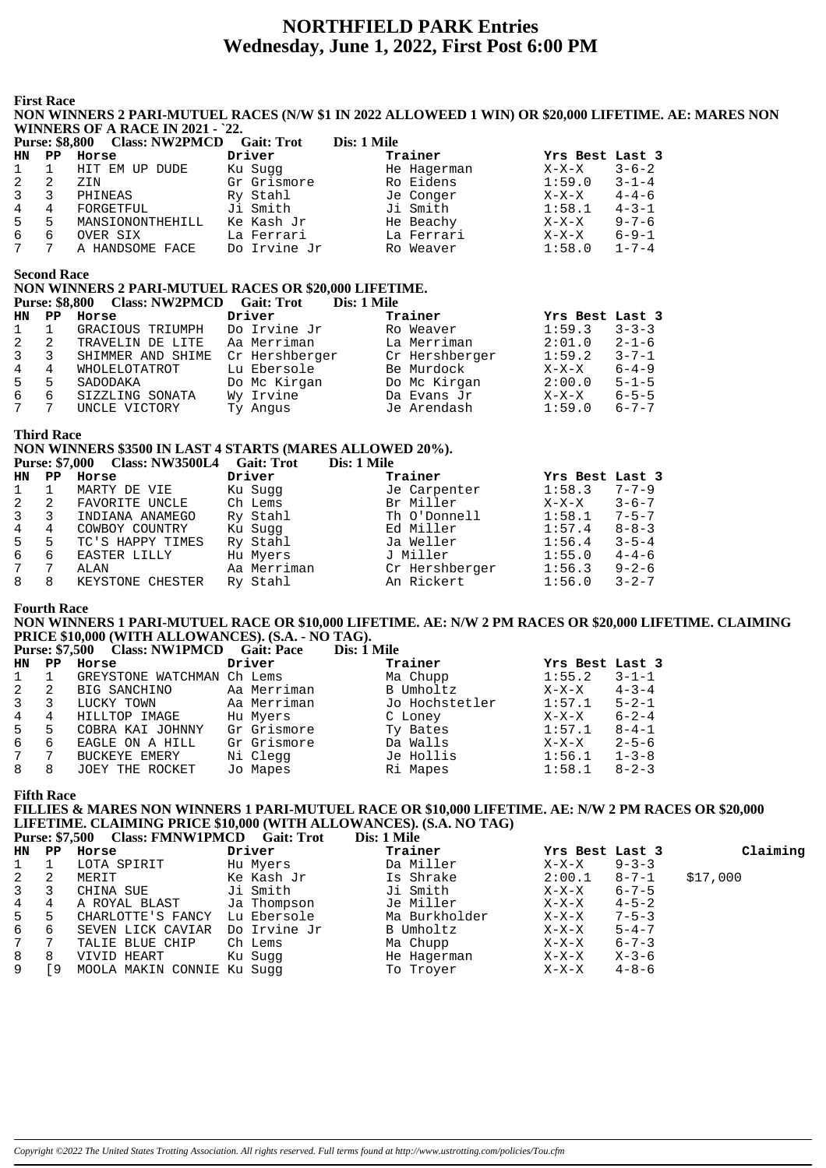# **NORTHFIELD PARK Entries** Wednesday, June 1, 2022, First Post 6:00 PM

**First Race** 

### NON WINNERS 2 PARI-MUTUEL RACES (N/W \$1 IN 2022 ALLOWEED 1 WIN) OR \$20,000 LIFETIME. AE: MARES NON WINNERS OF A RACE IN 2021 - `22.

| <b>Purse: \$8,800</b> |             | <b>Class: NW2PMCD</b> | <b>Gait: Trot</b> | Dis: 1 Mile |                 |             |
|-----------------------|-------------|-----------------------|-------------------|-------------|-----------------|-------------|
| HN.                   | $_{\rm PP}$ | Horse                 | Driver            | Trainer     | Yrs Best Last 3 |             |
|                       |             | HIT EM UP DUDE        | Ku Sugg           | He Hagerman | $X-X-X$         | $3 - 6 - 2$ |
| 2                     | 2           | ZIN                   | Gr Grismore       | Ro Eidens   | 1:59.0          | $3 - 1 - 4$ |
| 3                     | 3           | PHINEAS               | Ry Stahl          | Je Conger   | $X-X-X$         | $4 - 4 - 6$ |
| 4                     | 4           | FORGETFUL             | Ji Smith          | Ji Smith    | 1:58.1          | $4 - 3 - 1$ |
| 5                     | .5          | MANSIONONTHEHILL      | Ke Kash Jr        | He Beachy   | X-X-X           | $9 - 7 - 6$ |
| 6                     | 6           | OVER SIX              | La Ferrari        | La Ferrari  | $X-X-X$         | $6 - 9 - 1$ |
|                       | 7           | A HANDSOME FACE       | Do Irvine Jr      | Ro Weaver   | 1:58.0          | $1 - 7 - 4$ |

**Second Race** 

# NON WINNERS 2 PARI-MUTUEL RACES OR \$20,000 LIFETIME.

|                 |    | Purse: \$8,800 Class: NW2PMCD Gait: Trot |                | Dis: 1 Mile    |                 |             |
|-----------------|----|------------------------------------------|----------------|----------------|-----------------|-------------|
| HN.             | PP | Horse                                    | Driver         | Trainer        | Yrs Best Last 3 |             |
| $1 \quad 1$     |    | GRACIOUS TRIUMPH                         | Do Irvine Jr   | Ro Weaver      | 1:59.3          | $3 - 3 - 3$ |
| $\mathbf{2}$    | 2  | TRAVELIN DE LITE                         | Aa Merriman    | La Merriman    | 2:01.0          | $2 - 1 - 6$ |
| 3 <sup>7</sup>  | 3  | SHIMMER AND SHIME                        | Cr Hershberger | Cr Hershberger | 1:59.2          | $3 - 7 - 1$ |
| $4\overline{ }$ | 4  | WHOLELOTATROT                            | Lu Ebersole    | Be Murdock     | $X-X-X$         | $6 - 4 - 9$ |
| 5               | 5  | SADODAKA                                 | Do Mc Kirgan   | Do Mc Kirgan   | 2:00.0          | $5 - 1 - 5$ |
| 6               | 6  | SIZZLING SONATA                          | Wy Irvine      | Da Evans Jr    | $X-X-X$         | $6 - 5 - 5$ |
| 7               |    | UNCLE VICTORY                            | Ty Angus       | Je Arendash    | 1:59.0          | $6 - 7 - 7$ |

#### **Third Race**

#### NON WINNERS \$3500 IN LAST 4 STARTS (MARES ALLOWED 20%). Purse: \$7.000 Class: NW3500L4 Gait: Trot Dig: 1 Milo

|              |    | $1000, 0000$ Class. $1112000$ LT Gall. $1100$ |             | <i>різ.</i> і інше |                 |             |
|--------------|----|-----------------------------------------------|-------------|--------------------|-----------------|-------------|
| HN.          | PP | Horse                                         | Driver      | Trainer            | Yrs Best Last 3 |             |
| $\mathbf{1}$ |    | MARTY DE VIE                                  | Ku Sugg     | Je Carpenter       | 1:58.3          | $7 - 7 - 9$ |
| 2            | 2  | FAVORITE UNCLE                                | Ch Lems     | Br Miller          | $X-X-X$         | $3 - 6 - 7$ |
| 3            | 3  | INDIANA ANAMEGO                               | Ry Stahl    | Th O'Donnell       | 1:58.1          | $7 - 5 - 7$ |
| 4            | 4  | COWBOY COUNTRY                                | Ku Sugg     | Ed Miller          | 1:57.4          | $8 - 8 - 3$ |
| 5            | 5  | TC'S HAPPY TIMES                              | Ry Stahl    | Ja Weller          | 1:56.4          | $3 - 5 - 4$ |
| 6            | 6  | EASTER LILLY                                  | Hu Myers    | J Miller           | 1:55.0          | $4 - 4 - 6$ |
| 7            | 7  | ALAN                                          | Aa Merriman | Cr Hershberger     | 1:56.3          | $9 - 2 - 6$ |
| 8            | 8  | KEYSTONE CHESTER                              | Ry Stahl    | An Rickert         | 1:56.0          | $3 - 2 - 7$ |

#### **Fourth Race**

### NON WINNERS 1 PARI-MUTUEL RACE OR \$10,000 LIFETIME. AE: N/W 2 PM RACES OR \$20,000 LIFETIME. CLAIMING PRICE \$10,000 (WITH ALLOWANCES). (S.A. - NO TAG).

Purse: \$7.500 Class: NW1PMCD Gait: Pace Dis: 1 Mile

| HN.          | PP  | Horse                      | Driver      | Trainer        | Yrs Best Last 3 |             |
|--------------|-----|----------------------------|-------------|----------------|-----------------|-------------|
| $\mathbf{1}$ |     | GREYSTONE WATCHMAN Ch Lems |             | Ma Chupp       | 1:55.2          | $3 - 1 - 1$ |
| 2            | -2  | BIG SANCHINO               | Aa Merriman | B Umholtz      | $X-X-X$         | $4 - 3 - 4$ |
| $\mathbf{3}$ | 3   | LUCKY TOWN                 | Aa Merriman | Jo Hochstetler | 1:57.1          | $5 - 2 - 1$ |
| 4            | 4   | HILLTOP IMAGE              | Hu Myers    | C Loney        | $X-X-X$         | $6 - 2 - 4$ |
| 5            | 5   | COBRA KAI JOHNNY           | Gr Grismore | Ty Bates       | 1:57.1          | $8 - 4 - 1$ |
| 6            | 6   | EAGLE ON A HILL            | Gr Grismore | Da Walls       | $X-X-X$         | $2 - 5 - 6$ |
| $7^{\circ}$  | - 7 | <b>BUCKEYE EMERY</b>       | Ni Clegg    | Je Hollis      | 1:56.1          | $1 - 3 - 8$ |
| 8            | 8   | JOEY THE ROCKET            | Jo Mapes    | Ri Mapes       | 1:58.1          | $8 - 2 - 3$ |
|              |     |                            |             |                |                 |             |

**Fifth Race** 

# FILLIES & MARES NON WINNERS 1 PARI-MUTUEL RACE OR \$10,000 LIFETIME. AE: N/W 2 PM RACES OR \$20,000 LIFETIME. CLAIMING PRICE \$10,000 (WITH ALLOWANCES). (S.A. NO TAG)

|             |               | Purse: \$7,500 Class: FMNW1PMCD Gait: Trot | Dis: 1 Mile |
|-------------|---------------|--------------------------------------------|-------------|
| <b>TTAT</b> | <b>TTAMAA</b> | <b>Deal common</b>                         | $m - 1 - 1$ |

| HN PP        |    | Horse                      | Driver       | Trainer       | Yrs Best Last 3 |             | Claiming |
|--------------|----|----------------------------|--------------|---------------|-----------------|-------------|----------|
| $\mathbf{1}$ |    | LOTA SPIRIT                | Hu Myers     | Da Miller     | $X-X-X$         | $9 - 3 - 3$ |          |
| 2            | 2  | MERIT                      | Ke Kash Jr   | Is Shrake     | 2:00.1          | $8 - 7 - 1$ | \$17,000 |
| 3            |    | CHINA SUE                  | Ji Smith     | Ji Smith      | $X-X-X$         | $6 - 7 - 5$ |          |
| 4            | 4  | A ROYAL BLAST              | Ja Thompson  | Je Miller     | X-X-X           | $4 - 5 - 2$ |          |
| 5            | -5 | CHARLOTTE'S FANCY          | Lu Ebersole  | Ma Burkholder | X-X-X           | $7 - 5 - 3$ |          |
| 6            | 6  | SEVEN LICK CAVIAR          | Do Irvine Jr | B Umholtz     | X-X-X           | $5 - 4 - 7$ |          |
| 7            |    | TALIE BLUE CHIP            | Ch Lems      | Ma Chupp      | X-X-X           | $6 - 7 - 3$ |          |
| 8            | 8  | VIVID HEART                | Ku Sugg      | He Hagerman   | X-X-X           | x-3-6       |          |
| 9            | [9 | MOOLA MAKIN CONNIE Ku Suqq |              | To Troyer     | X-X-X           | 4-8-6       |          |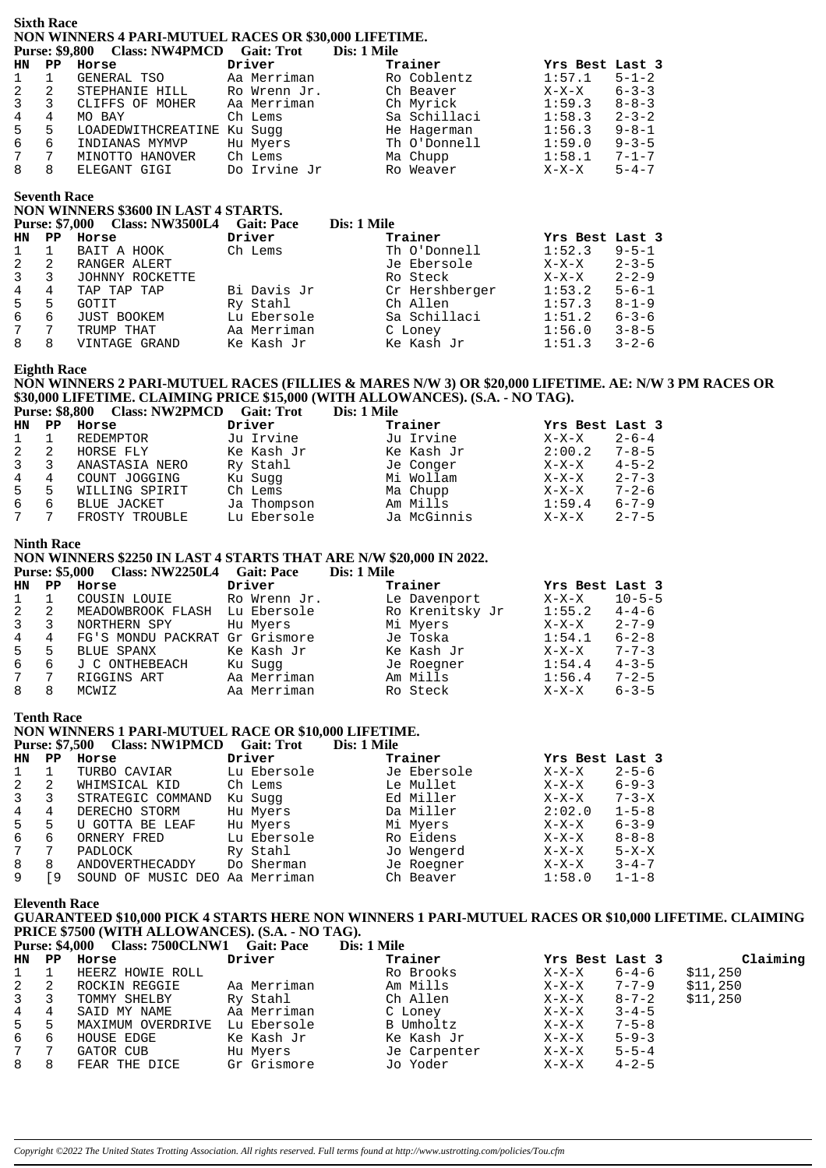#### **Sixth Race NON WINNERS 4 PARI-MUTUEL RACES OR \$30,000 LIFETIME. Purse: \$9,800 Class: NW4PMCD Gait: Trot**

|                 |   | Turst. \$7,000 Class. IVIVEL FICD Gall. TTUL |              | різ. І ічше  |                 |             |
|-----------------|---|----------------------------------------------|--------------|--------------|-----------------|-------------|
| HN PP           |   | Horse                                        | Driver       | Trainer      | Yrs Best Last 3 |             |
| $\mathbf{1}$    |   | GENERAL TSO                                  | Aa Merriman  | Ro Coblentz  | 1:57.1          | $5 - 1 - 2$ |
| 2               | 2 | STEPHANIE HILL                               | Ro Wrenn Jr. | Ch Beaver    | X-X-X           | $6 - 3 - 3$ |
| $\mathbf{3}$    | 3 | CLIFFS OF MOHER                              | Aa Merriman  | Ch Myrick    | 1:59.3          | $8 - 8 - 3$ |
| 4               | 4 | MO BAY                                       | Ch Lems      | Sa Schillaci | 1:58.3          | $2 - 3 - 2$ |
| 5               | 5 | LOADEDWITHCREATINE                           | Ku Sugg      | He Hagerman  | 1:56.3          | $9 - 8 - 1$ |
| 6               | 6 | INDIANAS MYMVP                               | Hu Myers     | Th O'Donnell | 1:59.0          | $9 - 3 - 5$ |
| $7\overline{ }$ | 7 | MINOTTO HANOVER                              | Ch Lems      | Ma Chupp     | 1:58.1          | $7 - 1 - 7$ |
| 8               | 8 | ELEGANT GIGI                                 | Do Irvine Jr | Ro Weaver    | $X-X-X$         | $5 - 4 - 7$ |
|                 |   |                                              |              |              |                 |             |

### **Seventh Race**

# **NON WINNERS \$3600 IN LAST 4 STARTS.**

|                 | <b>Purse: \$7,000</b> | <b>Class: NW3500L4</b> | <b>Gait: Pace</b> | Dis: 1 Mile    |                 |             |
|-----------------|-----------------------|------------------------|-------------------|----------------|-----------------|-------------|
| HN              | PP                    | Horse                  | Driver            | Trainer        | Yrs Best Last 3 |             |
| $\mathbf{1}$    |                       | BAIT A HOOK            | Ch Lems           | Th O'Donnell   | 1:52.3          | $9 - 5 - 1$ |
| 2               | -2                    | RANGER ALERT           |                   | Je Ebersole    | $X-X-X$         | $2 - 3 - 5$ |
| $\overline{3}$  | 3                     | JOHNNY ROCKETTE        |                   | Ro Steck       | $X-X-X$         | $2 - 2 - 9$ |
| $\overline{4}$  | 4                     | TAP TAP TAP            | Bi Davis Jr       | Cr Hershberger | 1:53.2          | $5 - 6 - 1$ |
| 5               | 5                     | GOTIT                  | Ry Stahl          | Ch Allen       | 1:57.3          | $8 - 1 - 9$ |
| 6               | 6                     | <b>JUST BOOKEM</b>     | Lu Ebersole       | Sa Schillaci   | 1:51.2          | $6 - 3 - 6$ |
| $7\overline{ }$ | 7                     | TRUMP THAT             | Aa Merriman       | C Loney        | 1:56.0          | $3 - 8 - 5$ |
| 8               | 8                     | VINTAGE GRAND          | Ke Kash Jr        | Ke Kash Jr     | 1:51.3          | $3 - 2 - 6$ |

#### **Eighth Race**

# **NON WINNERS 2 PARI-MUTUEL RACES (FILLIES & MARES N/W 3) OR \$20,000 LIFETIME. AE: N/W 3 PM RACES OR \$30,000 LIFETIME. CLAIMING PRICE \$15,000 (WITH ALLOWANCES). (S.A. - NO TAG).**

**Purse: \$8,800 Class: NW2PMCD Gait: Trot** 

| HN    | PP  | Horse          | Driver      | Trainer     | Yrs Best Last 3 |             |
|-------|-----|----------------|-------------|-------------|-----------------|-------------|
|       |     | REDEMPTOR      | Ju Irvine   | Ju Irvine   | $X-X-X$         | $2 - 6 - 4$ |
|       | -2  | HORSE FLY      | Ke Kash Jr  | Ke Kash Jr  | 2:00.2          | $7 - 8 - 5$ |
| 3     | - 3 | ANASTASIA NERO | Ry Stahl    | Je Conger   | $X-X-X$         | $4 - 5 - 2$ |
| 4     | 4   | COUNT JOGGING  | Ku Suqq     | Mi Wollam   | X-X-X           | $2 - 7 - 3$ |
| $5 -$ | - 5 | WILLING SPIRIT | Ch Lems     | Ma Chupp    | $X-X-X$         | $7 - 2 - 6$ |
| ნ.    | 6   | BLUE JACKET    | Ja Thompson | Am Mills    | 1:59.4          | $6 - 7 - 9$ |
| 7     |     | FROSTY TROUBLE | Lu Ebersole | Ja McGinnis | $X-X-X$         | $2 - 7 - 5$ |

#### **Ninth Race**

## **NON WINNERS \$2250 IN LAST 4 STARTS THAT ARE N/W \$20,000 IN 2022.**

|                |             | Purse: \$5,000 Class: NW2250L4 Gait: Pace |              | Dis: 1 Mile     |                 |              |
|----------------|-------------|-------------------------------------------|--------------|-----------------|-----------------|--------------|
| <b>HN</b>      | $_{\rm PP}$ | Horse                                     | Driver       | Trainer         | Yrs Best Last 3 |              |
| $\mathbf{1}$   |             | COUSIN LOUIE                              | Ro Wrenn Jr. | Le Davenport    | $X-X-X$         | $10 - 5 - 5$ |
| 2              | -2          | MEADOWBROOK FLASH Lu Ebersole             |              | Ro Krenitsky Jr | 1:55.2          | $4 - 4 - 6$  |
| $\overline{3}$ | 3           | NORTHERN SPY                              | Hu Myers     | Mi Myers        | $X-X-X$         | $2 - 7 - 9$  |
| $4^{\circ}$    | 4           | FG'S MONDU PACKRAT Gr Grismore            |              | Je Toska        | 1:54.1          | $6 - 2 - 8$  |
| 5              | 5           | BLUE SPANX                                | Ke Kash Jr   | Ke Kash Jr      | $X-X-X$         | $7 - 7 - 3$  |
| 6              | 6           | J C ONTHEBEACH                            | Ku Sugg      | Je Roegner      | 1:54.4          | $4 - 3 - 5$  |
| $7^{\circ}$    | 7           | RIGGINS ART                               | Aa Merriman  | Am Mills        | 1:56.4          | $7 - 2 - 5$  |
| 8              | 8           | MCWIZ                                     | Aa Merriman  | Ro Steck        | $X-X-X$         | $6 - 3 - 5$  |

**Tenth Race**

#### **NON WINNERS 1 PARI-MUTUEL RACE OR \$10,000 LIFETIME.** Purse: \$7,500 Class: NW1PMCD Gait: Trot Dis: 1 Mile

| HN             | PP | Horse                 | Driver      | Trainer     | Yrs Best Last 3 |             |
|----------------|----|-----------------------|-------------|-------------|-----------------|-------------|
|                |    | TURBO CAVIAR          | Lu Ebersole | Je Ebersole | $X-X-X$         | $2 - 5 - 6$ |
| 2              | 2  | WHIMSICAL KID         | Ch Lems     | Le Mullet   | X-X-X           | $6 - 9 - 3$ |
| $\overline{3}$ |    | STRATEGIC COMMAND     | Ku Sugg     | Ed Miller   | $X-X-X$         | $7 - 3 - X$ |
| 4              | 4  | DERECHO STORM         | Hu Myers    | Da Miller   | 2:02.0          | $1 - 5 - 8$ |
| 5              | 5  | U GOTTA BE LEAF       | Hu Myers    | Mi Myers    | $X-X-X$         | $6 - 3 - 9$ |
| 6              | 6  | ORNERY FRED           | Lu Ebersole | Ro Eidens   | X-X-X           | $8 - 8 - 8$ |
|                | 7  | PADLOCK               | Ry Stahl    | Jo Wengerd  | X-X-X           | $5 - X - X$ |
| 8              | 8  | ANDOVERTHECADDY       | Do Sherman  | Je Roegner  | $X-X-X$         | $3 - 4 - 7$ |
| 9              | 9  | MUSIC DEO<br>SOUND OF | Aa Merriman | Ch Beaver   | 1:58.0          | $1 - 1 - 8$ |

**Eleventh Race**

#### **GUARANTEED \$10,000 PICK 4 STARTS HERE NON WINNERS 1 PARI-MUTUEL RACES OR \$10,000 LIFETIME. CLAIMING PRICE \$7500 (WITH ALLOWANCES). (S.A. - NO TAG).**<br>Purse: \$4,000 Class: 7500CLNW1 Cait: Pace Dis: 1 Mile **Pulse: 7500CLNW1 Gait: Pace**

|                                                              |                                                                                       | <i>різ. І імін</i> е                                                     |         |             |                                                        |
|--------------------------------------------------------------|---------------------------------------------------------------------------------------|--------------------------------------------------------------------------|---------|-------------|--------------------------------------------------------|
|                                                              | Driver                                                                                | Trainer                                                                  |         |             | Claiming                                               |
|                                                              |                                                                                       | Ro Brooks                                                                | $X-X-X$ | 6-4-6       | \$11,250                                               |
|                                                              |                                                                                       | Am Mills                                                                 | $X-X-X$ |             | \$11,250                                               |
|                                                              | Ry Stahl                                                                              | Ch Allen                                                                 | X-X-X   | $8 - 7 - 2$ | \$11,250                                               |
| SAID MY NAME                                                 | Aa Merriman                                                                           | C Loney                                                                  | $X-X-X$ |             |                                                        |
|                                                              |                                                                                       | B Umholtz                                                                | X-X-X   |             |                                                        |
| HOUSE EDGE                                                   | Ke Kash Jr                                                                            | Ke Kash Jr                                                               | $X-X-X$ | $5 - 9 - 3$ |                                                        |
| GATOR CUB                                                    | Hu Myers                                                                              | Je Carpenter                                                             | $X-X-X$ | $5 - 5 - 4$ |                                                        |
| FEAR THE DICE                                                | Gr Grismore                                                                           | Jo Yoder                                                                 | X-X-X   | $4 - 2 - 5$ |                                                        |
| $1 \quad 1$<br>2 2<br>$3 \quad 3$<br>4 4<br>5 5<br>66<br>8 8 | HN PP Horse<br>HEERZ HOWIE ROLL<br>ROCKIN REGGIE<br>TOMMY SHELBY<br>MAXIMUM OVERDRIVE | Turst. 07,000 Class. 1500CLTVVI Gall. Late<br>Aa Merriman<br>Lu Ebersole |         |             | Yrs Best Last 3<br>7-7-9<br>$3 - 4 - 5$<br>$7 - 5 - 8$ |